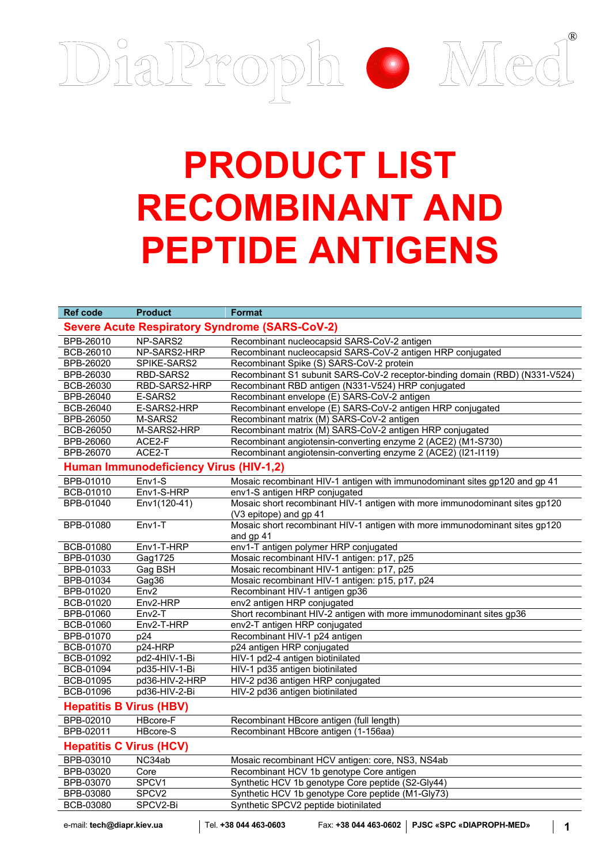

## **PRODUCT LIST RECOMBINANT AND PEPTIDE ANTIGENS**

| <b>Ref code</b>                                       | <b>Product</b>    | <b>Format</b>                                                                                         |  |  |
|-------------------------------------------------------|-------------------|-------------------------------------------------------------------------------------------------------|--|--|
|                                                       |                   |                                                                                                       |  |  |
| <b>Severe Acute Respiratory Syndrome (SARS-CoV-2)</b> |                   |                                                                                                       |  |  |
| <b>BPB-26010</b>                                      | NP-SARS2          | Recombinant nucleocapsid SARS-CoV-2 antigen                                                           |  |  |
| <b>BCB-26010</b>                                      | NP-SARS2-HRP      | Recombinant nucleocapsid SARS-CoV-2 antigen HRP conjugated                                            |  |  |
| <b>BPB-26020</b>                                      | SPIKE-SARS2       | Recombinant Spike (S) SARS-CoV-2 protein                                                              |  |  |
| BPB-26030                                             | RBD-SARS2         | Recombinant S1 subunit SARS-CoV-2 receptor-binding domain (RBD) (N331-V524)                           |  |  |
| BCB-26030                                             | RBD-SARS2-HRP     | Recombinant RBD antigen (N331-V524) HRP conjugated                                                    |  |  |
| BPB-26040                                             | E-SARS2           | Recombinant envelope (E) SARS-CoV-2 antigen                                                           |  |  |
| <b>BCB-26040</b>                                      | E-SARS2-HRP       | Recombinant envelope (E) SARS-CoV-2 antigen HRP conjugated                                            |  |  |
| BPB-26050                                             | M-SARS2           | Recombinant matrix (M) SARS-CoV-2 antigen                                                             |  |  |
| BCB-26050                                             | M-SARS2-HRP       | Recombinant matrix (M) SARS-CoV-2 antigen HRP conjugated                                              |  |  |
| <b>BPB-26060</b>                                      | ACE2-F            | Recombinant angiotensin-converting enzyme 2 (ACE2) (M1-S730)                                          |  |  |
| <b>BPB-26070</b>                                      | ACE2-T            | Recombinant angiotensin-converting enzyme 2 (ACE2) (I21-I119)                                         |  |  |
| Human Immunodeficiency Virus (HIV-1,2)                |                   |                                                                                                       |  |  |
| BPB-01010                                             | Env1-S            | Mosaic recombinant HIV-1 antigen with immunodominant sites gp120 and gp 41                            |  |  |
| <b>BCB-01010</b>                                      | Env1-S-HRP        | env1-S antigen HRP conjugated                                                                         |  |  |
| BPB-01040                                             | Env1(120-41)      | Mosaic short recombinant HIV-1 antigen with more immunodominant sites gp120<br>(V3 epitope) and gp 41 |  |  |
| BPB-01080                                             | Env1-T            | Mosaic short recombinant HIV-1 antigen with more immunodominant sites gp120                           |  |  |
|                                                       |                   | and gp 41                                                                                             |  |  |
| BCB-01080                                             | Env1-T-HRP        | env1-T antigen polymer HRP conjugated                                                                 |  |  |
| <b>BPB-01030</b>                                      | Gag1725           | Mosaic recombinant HIV-1 antigen: p17, p25                                                            |  |  |
| BPB-01033                                             | Gag BSH           | Mosaic recombinant HIV-1 antigen: p17, p25                                                            |  |  |
| BPB-01034                                             | Gag36             | Mosaic recombinant HIV-1 antigen: p15, p17, p24                                                       |  |  |
| BPB-01020                                             | Env <sub>2</sub>  | Recombinant HIV-1 antigen gp36                                                                        |  |  |
| BCB-01020                                             | Env2-HRP          | env2 antigen HRP conjugated                                                                           |  |  |
| BPB-01060                                             | Env2-T            | Short recombinant HIV-2 antigen with more immunodominant sites gp36                                   |  |  |
| BCB-01060                                             | Env2-T-HRP        | env2-T antigen HRP conjugated                                                                         |  |  |
| BPB-01070                                             | p24               | Recombinant HIV-1 p24 antigen                                                                         |  |  |
| BCB-01070                                             | p24-HRP           | p24 antigen HRP conjugated                                                                            |  |  |
| <b>BCB-01092</b>                                      | pd2-4HIV-1-Bi     | HIV-1 pd2-4 antigen biotinilated                                                                      |  |  |
| BCB-01094                                             | pd35-HIV-1-Bi     | HIV-1 pd35 antigen biotinilated                                                                       |  |  |
| BCB-01095                                             | pd36-HIV-2-HRP    | HIV-2 pd36 antigen HRP conjugated                                                                     |  |  |
| <b>BCB-01096</b>                                      | pd36-HIV-2-Bi     | HIV-2 pd36 antigen biotinilated                                                                       |  |  |
| <b>Hepatitis B Virus (HBV)</b>                        |                   |                                                                                                       |  |  |
| BPB-02010                                             | HBcore-F          | Recombinant HBcore antigen (full length)                                                              |  |  |
| BPB-02011                                             | <b>HBcore-S</b>   | Recombinant HBcore antigen (1-156aa)                                                                  |  |  |
| <b>Hepatitis C Virus (HCV)</b>                        |                   |                                                                                                       |  |  |
| BPB-03010                                             | NC34ab            | Mosaic recombinant HCV antigen: core, NS3, NS4ab                                                      |  |  |
| BPB-03020                                             | Core              | Recombinant HCV 1b genotype Core antigen                                                              |  |  |
| BPB-03070                                             | SPCV1             | Synthetic HCV 1b genotype Core peptide (S2-Gly44)                                                     |  |  |
| BPB-03080                                             | SPCV <sub>2</sub> | Synthetic HCV 1b genotype Core peptide (M1-Gly73)                                                     |  |  |
| BCB-03080                                             | SPCV2-Bi          | Synthetic SPCV2 peptide biotinilated                                                                  |  |  |